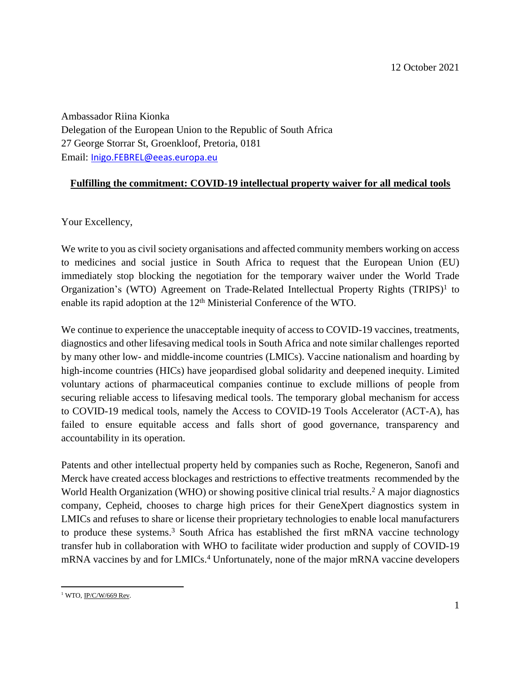Ambassador Riina Kionka Delegation of the European Union to the Republic of South Africa 27 George Storrar St, Groenkloof, Pretoria, 0181 Email: [Inigo.FEBREL@eeas.europa.eu](mailto:Inigo.FEBREL@eeas.europa.eu)

## **Fulfilling the commitment: COVID-19 intellectual property waiver for all medical tools**

Your Excellency,

We write to you as civil society organisations and affected community members working on access to medicines and social justice in South Africa to request that the European Union (EU) immediately stop blocking the negotiation for the temporary waiver under the World Trade Organization's (WTO) Agreement on Trade-Related Intellectual Property Rights  $(TRIPS)^1$  to enable its rapid adoption at the 12<sup>th</sup> Ministerial Conference of the WTO.

We continue to experience the unacceptable inequity of access to COVID-19 vaccines, treatments, diagnostics and other lifesaving medical tools in South Africa and note similar challenges reported by many other low- and middle-income countries (LMICs). Vaccine nationalism and hoarding by high-income countries (HICs) have jeopardised global solidarity and deepened inequity. Limited voluntary actions of pharmaceutical companies continue to exclude millions of people from securing reliable access to lifesaving medical tools. The temporary global mechanism for access to COVID-19 medical tools, namely the Access to COVID-19 Tools Accelerator (ACT-A), has failed to ensure equitable access and falls short of good governance, transparency and accountability in its operation.

Patents and other intellectual property held by companies such as Roche, Regeneron, Sanofi and Merck have created access blockages and restrictions to effective treatments recommended by the World Health Organization (WHO) or showing positive clinical trial results.<sup>2</sup> A major diagnostics company, Cepheid, chooses to charge high prices for their GeneXpert diagnostics system in LMICs and refuses to share or license their proprietary technologies to enable local manufacturers to produce these systems. <sup>3</sup> South Africa has established the first mRNA vaccine technology transfer hub in collaboration with WHO to facilitate wider production and supply of COVID-19 mRNA vaccines by and for LMICs. <sup>4</sup> Unfortunately, none of the major mRNA vaccine developers

 $\overline{\phantom{a}}$ <sup>1</sup> WTO, <u>IP/C/W/669 Rev</u>.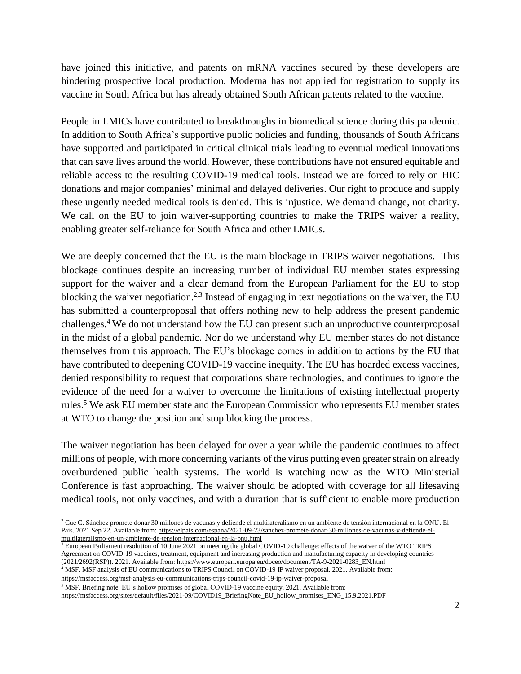have joined this initiative, and patents on mRNA vaccines secured by these developers are hindering prospective local production. Moderna has not applied for registration to supply its vaccine in South Africa but has already obtained South African patents related to the vaccine.

People in LMICs have contributed to breakthroughs in biomedical science during this pandemic. In addition to South Africa's supportive public policies and funding, thousands of South Africans have supported and participated in critical clinical trials leading to eventual medical innovations that can save lives around the world. However, these contributions have not ensured equitable and reliable access to the resulting COVID-19 medical tools. Instead we are forced to rely on HIC donations and major companies' minimal and delayed deliveries. Our right to produce and supply these urgently needed medical tools is denied. This is injustice. We demand change, not charity. We call on the EU to join waiver-supporting countries to make the TRIPS waiver a reality, enabling greater self-reliance for South Africa and other LMICs.

We are deeply concerned that the EU is the main blockage in TRIPS waiver negotiations. This blockage continues despite an increasing number of individual EU member states expressing support for the waiver and a clear demand from the European Parliament for the EU to stop blocking the waiver negotiation.<sup>2,3</sup> Instead of engaging in text negotiations on the waiver, the EU has submitted a counterproposal that offers nothing new to help address the present pandemic challenges.<sup>4</sup> We do not understand how the EU can present such an unproductive counterproposal in the midst of a global pandemic. Nor do we understand why EU member states do not distance themselves from this approach. The EU's blockage comes in addition to actions by the EU that have contributed to deepening COVID-19 vaccine inequity. The EU has hoarded excess vaccines, denied responsibility to request that corporations share technologies, and continues to ignore the evidence of the need for a waiver to overcome the limitations of existing intellectual property rules. <sup>5</sup> We ask EU member state and the European Commission who represents EU member states at WTO to change the position and stop blocking the process.

The waiver negotiation has been delayed for over a year while the pandemic continues to affect millions of people, with more concerning variants of the virus putting even greater strain on already overburdened public health systems. The world is watching now as the WTO Ministerial Conference is fast approaching. The waiver should be adopted with coverage for all lifesaving medical tools, not only vaccines, and with a duration that is sufficient to enable more production

 $3$  European Parliament resolution of 10 June 2021 on meeting the global COVID-19 challenge: effects of the waiver of the WTO TRIPS Agreement on COVID-19 vaccines, treatment, equipment and increasing production and manufacturing capacity in developing countries (2021/2692(RSP)). 2021. Available from: [https://www.europarl.europa.eu/doceo/document/TA-9-2021-0283\\_EN.html](https://www.europarl.europa.eu/doceo/document/TA-9-2021-0283_EN.html)

<sup>4</sup> MSF. MSF analysis of EU communications to TRIPS Council on COVID-19 IP waiver proposal. 2021. Available from:

<https://msfaccess.org/msf-analysis-eu-communications-trips-council-covid-19-ip-waiver-proposal> <sup>5</sup> MSF. Briefing note: EU's hollow promises of global COVID-19 vaccine equity. 2021. Available from:

 $\overline{\phantom{a}}$ 

[https://msfaccess.org/sites/default/files/2021-09/COVID19\\_BriefingNote\\_EU\\_hollow\\_promises\\_ENG\\_15.9.2021.PDF](https://msfaccess.org/sites/default/files/2021-09/COVID19_BriefingNote_EU_hollow_promises_ENG_15.9.2021.PDF)

<sup>2</sup> Cue C. Sánchez promete donar 30 millones de vacunas y defiende el multilateralismo en un ambiente de tensión internacional en la ONU. El Pais. 2021 Sep 22. Available from[: https://elpais.com/espana/2021-09-23/sanchez-promete-donar-30-millones-de-vacunas-y-defiende-el](https://elpais.com/espana/2021-09-23/sanchez-promete-donar-30-millones-de-vacunas-y-defiende-el-multilateralismo-en-un-ambiente-de-tension-internacional-en-la-onu.html)[multilateralismo-en-un-ambiente-de-tension-internacional-en-la-onu.html](https://elpais.com/espana/2021-09-23/sanchez-promete-donar-30-millones-de-vacunas-y-defiende-el-multilateralismo-en-un-ambiente-de-tension-internacional-en-la-onu.html)